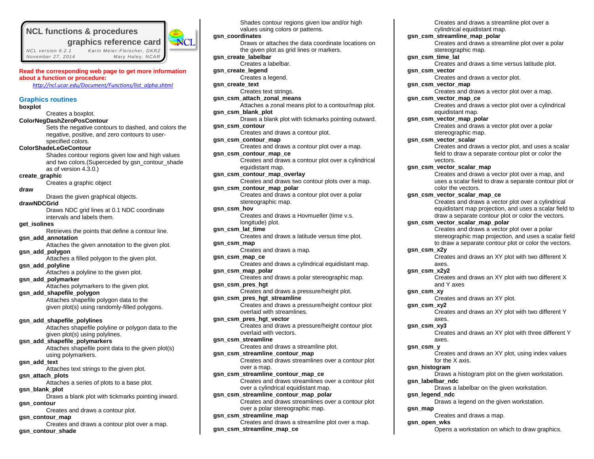# **NCL functions & procedures**

 *NCL vers ion 6.2.1 Kar in Me ie r-Fle ischer, DKRZ November 27 , 2014 Mary Hale y, NCAR*



**Read the corresponding web page to get more information about a function or procedure:**

*[http://ncl.ucar.edu/Document/Functions/list\\_alpha.shtml](http://ncl.ucar.edu/Document/Functions/list_alpha.shtml)*

# **Graphics routines**

#### **boxplot**

Creates a boxplot.

**ColorNegDashZeroPosContour**

Sets the negative contours to dashed, and colors the negative, positive, and zero contours to userspecified colors.

# **ColorShadeLeGeContour**

Shades contour regions given low and high values and two colors.(Superceded by gsn\_contour\_shade as of version 4.3.0.)

# **create\_graphic**

Creates a graphic object

# **draw**

Draws the given graphical objects.

# **drawNDCGrid**

Draws NDC grid lines at 0.1 NDC coordinate intervals and labels them.

# **get\_isolines**

Retrieves the points that define a contour line. **gsn\_add\_annotation**

Attaches the given annotation to the given plot.

# **gsn\_add\_polygon**

Attaches a filled polygon to the given plot.

**gsn\_add\_polyline** Attaches a polyline to the given plot.

#### **gsn\_add\_polymarker**

Attaches polymarkers to the given plot.

# **gsn\_add\_shapefile\_polygon**

Attaches shapefile polygon data to the given plot(s) using randomly-filled polygons.

#### **gsn\_add\_shapefile\_polylines**

Attaches shapefile polyline or polygon data to the given plot(s) using polylines.

# **gsn\_add\_shapefile\_polymarkers**

Attaches shapefile point data to the given plot(s) using polymarkers.

#### **gsn\_add\_text**

Attaches text strings to the given plot.

#### **gsn\_attach\_plots**

Attaches a series of plots to a base plot.

# **gsn\_blank\_plot**

Draws a blank plot with tickmarks pointing inward. **gsn\_contour**

Creates and draws a contour plot.

# **gsn\_contour\_map**

Creates and draws a contour plot over a map.

# **gsn\_contour\_shade**

Shades contour regions given low and/or high values using colors or patterns. **gsn\_coordinates** Draws or attaches the data coordinate locations on the given plot as grid lines or markers. **gsn\_create\_labelbar** Creates a labelbar. **gsn\_create\_legend** Creates a legend. **gsn\_create\_text** Creates text strings. **gsn\_csm\_attach\_zonal\_means** Attaches a zonal means plot to a contour/map plot. **gsn\_csm\_blank\_plot** Draws a blank plot with tickmarks pointing outward. **gsn\_csm\_contour** Creates and draws a contour plot. **gsn\_csm\_contour\_map** Creates and draws a contour plot over a map. **gsn\_csm\_contour\_map\_ce** Creates and draws a contour plot over a cylindrical equidistant map. **gsn\_csm\_contour\_map\_overlay** Creates and draws two contour plots over a map. **gsn\_csm\_contour\_map\_polar**  Creates and draws a contour plot over a polar stereographic map. **gsn\_csm\_hov** Creates and draws a Hovmueller (time v.s. longitude) plot. **gsn\_csm\_lat\_time** Creates and draws a latitude versus time plot. **gsn\_csm\_map** Creates and draws a map. **gsn\_csm\_map\_ce** Creates and draws a cylindrical equidistant map. **gsn\_csm\_map\_polar** Creates and draws a polar stereographic map. **gsn\_csm\_pres\_hgt** Creates and draws a pressure/height plot. **gsn\_csm\_pres\_hgt\_streamline** Creates and draws a pressure/height contour plot overlaid with streamlines. **gsn\_csm\_pres\_hgt\_vector** Creates and draws a pressure/height contour plot overlaid with vectors. **gsn\_csm\_streamline** Creates and draws a streamline plot. **gsn\_csm\_streamline\_contour\_map** Creates and draws streamlines over a contour plot over a map. **gsn\_csm\_streamline\_contour\_map\_ce** Creates and draws streamlines over a contour plot over a cylindrical equidistant map. **gsn\_csm\_streamline\_contour\_map\_polar** Creates and draws streamlines over a contour plot

over a polar stereographic map.

Creates and draws a streamline plot over a map.

**gsn\_csm\_streamline\_map**

**gsn\_csm\_streamline\_map\_ce**

Creates and draws a streamline plot over a cylindrical equidistant map.

# **gsn\_csm\_streamline\_map\_polar**

Creates and draws a streamline plot over a polar stereographic map.

**gsn\_csm\_time\_lat**

Creates and draws a time versus latitude plot.

# **gsn\_csm\_vector**

Creates and draws a vector plot.

**gsn\_csm\_vector\_map**

Creates and draws a vector plot over a map.

**gsn\_csm\_vector\_map\_ce**

Creates and draws a vector plot over a cylindrical equidistant map.

# **gsn\_csm\_vector\_map\_polar**

Creates and draws a vector plot over a polar stereographic map.

# **gsn\_csm\_vector\_scalar**

Creates and draws a vector plot, and uses a scalar field to draw a separate contour plot or color the vectors.

**gsn\_csm\_vector\_scalar\_map**

Creates and draws a vector plot over a map, and uses a scalar field to draw a separate contour plot or color the vectors.

#### **gsn\_csm\_vector\_scalar\_map\_ce**

Creates and draws a vector plot over a cylindrical equidistant map projection, and uses a scalar field to draw a separate contour plot or color the vectors.

# **gsn\_csm\_vector\_scalar\_map\_polar**

Creates and draws a vector plot over a polar stereographic map projection, and uses a scalar field to draw a separate contour plot or color the vectors.

# **gsn\_csm\_x2y**

Creates and draws an XY plot with two different X axes.

#### **gsn\_csm\_x2y2**

Creates and draws an XY plot with two different X and Y axes

#### **gsn\_csm\_xy**

Creates and draws an XY plot.

#### **gsn\_csm\_xy2**

Creates and draws an XY plot with two different Y axes.

#### **gsn\_csm\_xy3**

Creates and draws an XY plot with three different Y axes.

#### **gsn\_csm\_y**

Creates and draws an XY plot, using index values for the X axis.

# **gsn\_histogram**

Draws a histogram plot on the given workstation. **gsn\_labelbar\_ndc**

# Draws a labelbar on the given workstation.

**gsn\_legend\_ndc**

Draws a legend on the given workstation.

#### **gsn\_map**

Creates and draws a map.

#### **gsn\_open\_wks**

Opens a workstation on which to draw graphics.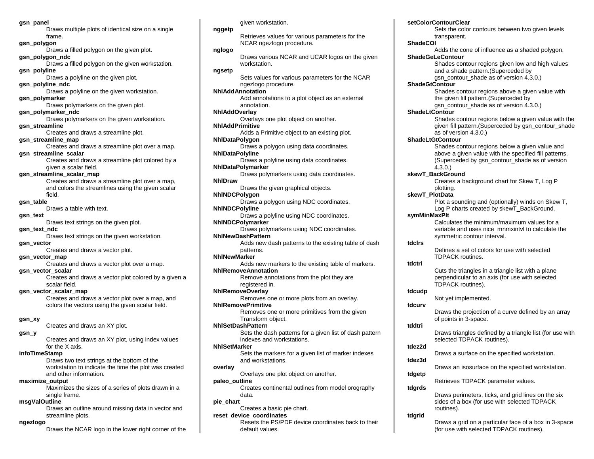#### **gsn\_panel**

Draws multiple plots of identical size on a single frame. **gsn\_polygon** 

Draws a filled polygon on the given plot. **gsn\_polygon\_ndc** Draws a filled polygon on the given workstation.

**gsn\_polyline** Draws a polyline on the given plot.

**gsn\_polyline\_ndc**

Draws a polyline on the given workstation. **gsn\_polymarker**

Draws polymarkers on the given plot.

**gsn\_polymarker\_ndc** Draws polymarkers on the given workstation. **gsn\_streamline**

Creates and draws a streamline plot.

# **gsn\_streamline\_map**

Creates and draws a streamline plot over a map. **gsn\_streamline\_scalar**

Creates and draws a streamline plot colored by a given a scalar field.

# **gsn\_streamline\_scalar\_map**

Creates and draws a streamline plot over a map, and colors the streamlines using the given scalar field.

#### **gsn\_table**

Draws a table with text.

# **gsn\_text**

Draws text strings on the given plot.

# **gsn\_text\_ndc**

Draws text strings on the given workstation.

# **gsn\_vector**

Creates and draws a vector plot.

# **gsn\_vector\_map**

Creates and draws a vector plot over a map.

# **gsn\_vector\_scalar**

Creates and draws a vector plot colored by a given a scalar field.

#### **gsn\_vector\_scalar\_map**

Creates and draws a vector plot over a map, and colors the vectors using the given scalar field.

#### **gsn\_xy**

Creates and draws an XY plot.

# **gsn\_y**

Creates and draws an XY plot, using index values for the X axis.

#### **infoTimeStamp**

Draws two text strings at the bottom of the workstation to indicate the time the plot was created and other information.

#### **maximize\_output**

Maximizes the sizes of a series of plots drawn in a single frame.

# **msgValOutline**

Draws an outline around missing data in vector and streamline plots.

#### **ngezlogo**

Draws the NCAR logo in the lower right corner of the

given workstation.

#### **nggetp**

Retrieves values for various parameters for the NCAR ngezlogo procedure.

# **nglogo**

Draws various NCAR and UCAR logos on the given workstation.

# **ngsetp**

Sets values for various parameters for the NCAR ngezlogo procedure.

# **NhlAddAnnotation**

Add annotations to a plot object as an external annotation.

# **NhlAddOverlay**

Overlays one plot object on another.

# **NhlAddPrimitive**

Adds a Primitive object to an existing plot. **NhlDataPolygon** Draws a polygon using data coordinates. **NhlDataPolyline** Draws a polyline using data coordinates. **NhlDataPolymarker** 

Draws polymarkers using data coordinates. **NhlDraw**

Draws the given graphical objects.

# **NhlNDCPolygon**

Draws a polygon using NDC coordinates. **NhlNDCPolyline**

Draws a polyline using NDC coordinates. **NhlNDCPolymarker**

Draws polymarkers using NDC coordinates.

# **NhlNewDashPattern**

Adds new dash patterns to the existing table of dash patterns.

# **NhlNewMarker**

Adds new markers to the existing table of markers. **NhlRemoveAnnotation**

Remove annotations from the plot they are registered in.

# **NhlRemoveOverlay**

Removes one or more plots from an overlay.

# **NhlRemovePrimitive**

Removes one or more primitives from the given Transform object.

# **NhlSetDashPattern**

Sets the dash patterns for a given list of dash pattern indexes and workstations.

# **NhlSetMarker**

Sets the markers for a given list of marker indexes and workstations.

# **overlay**

Overlays one plot object on another.

# **paleo\_outline**

Creates continental outlines from model orography data.

# **pie\_chart**

Creates a basic pie chart.

# **reset\_device\_coordinates**

Resets the PS/PDF device coordinates back to their default values.

# **setColorContourClear**

Sets the color contours between two given levels transparent.

# **ShadeCOI**

Adds the cone of influence as a shaded polygon.

# **ShadeGeLeContour**

Shades contour regions given low and high values and a shade pattern.(Superceded by

# asn\_contour\_shade as of version 4.3.0.)

**ShadeGtContour**

# Shades contour regions above a given value with the given fill pattern.(Superceded by

asn\_contour\_shade as of version 4.3.0.)

# **ShadeLtContour**

Shades contour regions below a given value with the given fill pattern.(Superceded by gsn\_contour\_shade as of version 4.3.0.)

# **ShadeLtGtContour**

Shades contour regions below a given value and above a given value with the specified fill patterns. (Superceded by gsn\_contour\_shade as of version 4.3.0.)

# **skewT\_BackGround**

Creates a background chart for Skew T, Log P plotting.

# **skewT\_PlotData**

Plot a sounding and (optionally) winds on Skew T, Log P charts created by skewT\_BackGround.

variable and uses nice\_mnmxintvl to calculate the

Defines a set of colors for use with selected

Cuts the triangles in a triangle list with a plane perpendicular to an axis (for use with selected

Draws the projection of a curve defined by an array

Draws triangles defined by a triangle list (for use with

Draws a surface on the specified workstation.

Retrieves TDPACK parameter values.

(for use with selected TDPACK routines).

Draws an isosurface on the specified workstation.

Draws perimeters, ticks, and grid lines on the six sides of a box (for use with selected TDPACK

Draws a grid on a particular face of a box in 3-space

symmetric contour interval.

TDPACK routines.

TDPACK routines).

Not yet implemented.

of points in 3-space.

routines).

selected TDPACK routines).

#### **symMinMaxPlt** Calculates the minimum/maximum values for a

**tdclrs**

**tdctri**

**tdcudp**

**tdcurv**

**tddtri**

**tdez2d**

**tdez3d**

**tdgetp**

**tdgrds**

**tdgrid**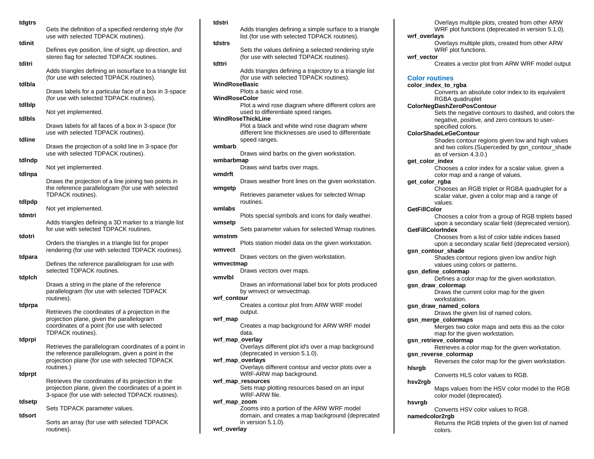| tdgtrs | Gets the definition of a specified rendering style (for<br>use with selected TDPACK routines).                                                                             |
|--------|----------------------------------------------------------------------------------------------------------------------------------------------------------------------------|
| tdinit | Defines eye position, line of sight, up direction, and<br>stereo flag for selected TDPACK routines.                                                                        |
| tditri | Adds triangles defining an isosurface to a triangle list<br>(for use with selected TDPACK routines).                                                                       |
| tdibla | Draws labels for a particular face of a box in 3-space<br>(for use with selected TDPACK routines).                                                                         |
| tdibip | Not yet implemented.                                                                                                                                                       |
| tdibls | Draws labels for all faces of a box in 3-space (for                                                                                                                        |
| tdline | use with selected TDPACK routines).                                                                                                                                        |
| tdIndp | Draws the projection of a solid line in 3-space (for<br>use with selected TDPACK routines).                                                                                |
|        | Not yet implemented.                                                                                                                                                       |
| tdinpa | Draws the projection of a line joining two points in<br>the reference parallelogram (for use with selected<br>TDPACK routines).                                            |
| tdlpdp | Not yet implemented.                                                                                                                                                       |
| tdmtri | Adds triangles defining a 3D marker to a triangle list<br>for use with selected TDPACK routines.                                                                           |
| tdotri | Orders the triangles in a triangle list for proper<br>rendering (for use with selected TDPACK routines).                                                                   |
| tdpara | Defines the reference parallelogram for use with<br>selected TDPACK routines.                                                                                              |
| tdplch | Draws a string in the plane of the reference<br>parallelogram (for use with selected TDPACK<br>routines).                                                                  |
| tdprpa | Retrieves the coordinates of a projection in the                                                                                                                           |
|        | projection plane, given the parallelogram<br>coordinates of a point (for use with selected<br>TDPACK routines).                                                            |
| tdprpi | Retrieves the parallelogram coordinates of a point in<br>the reference parallelogram, given a point in the<br>projection plane (for use with selected TDPACK<br>routines.) |
| tdprpt | Retrieves the coordinates of its projection in the<br>projection plane, given the coordinates of a point in<br>3-space (for use with selected TDPACK routines).            |
| tdsetp | Sets TDPACK parameter values.                                                                                                                                              |

# **tdsort**

Sorts an array (for use with selected TDPACK routines).

# **tdstri**

|                 | Adds triangles defining a simple surface to a triangle                                     |
|-----------------|--------------------------------------------------------------------------------------------|
|                 | list (for use with selected TDPACK routines).                                              |
| tdstrs          | Sets the values defining a selected rendering style                                        |
|                 | (for use with selected TDPACK routines).                                                   |
| tdttri          | Adds triangles defining a trajectory to a triangle list                                    |
|                 | (for use with selected TDPACK routines).                                                   |
| WindRoseBasic   | Plots a basic wind rose.                                                                   |
| WindRoseColor   |                                                                                            |
|                 | Plot a wind rose diagram where different colors are<br>used to differentiate speed ranges. |
|                 | WindRoseThickLine                                                                          |
|                 | Plot a black and white wind rose diagram where                                             |
|                 | different line thicknesses are used to differentiate<br>speed ranges.                      |
| wmbarb          |                                                                                            |
| wmbarbmap       | Draws wind barbs on the given workstation.                                                 |
|                 | Draws wind barbs over maps.                                                                |
| wmdrft          | Draws weather front lines on the given workstation.                                        |
| wmgetp          |                                                                                            |
|                 | Retrieves parameter values for selected Wmap                                               |
| wmlabs          | routines.                                                                                  |
|                 | Plots special symbols and icons for daily weather.                                         |
| wmsetp          | Sets parameter values for selected Wmap routines.                                          |
| wmstnm          |                                                                                            |
| wmvect          | Plots station model data on the given workstation.                                         |
|                 | Draws vectors on the given workstation.                                                    |
| wmvectmap       | Draws vectors over maps.                                                                   |
| wmvlbl          |                                                                                            |
|                 | Draws an informational label box for plots produced                                        |
| wrf_contour     | by wmvect or wmvectmap.                                                                    |
|                 | Creates a contour plot from ARW WRF model                                                  |
| wrf_map         | output.                                                                                    |
|                 | Creates a map background for ARW WRF model                                                 |
| wrf_map_overlay | data.                                                                                      |
|                 | Overlays different plot id's over a map background                                         |
|                 | (deprecated in version 5.1.0).<br>wrf_map_overlays                                         |
|                 | Overlays different contour and vector plots over a                                         |
|                 | WRF-ARW map background.<br>wrf_map_resources                                               |
|                 | Sets map plotting resources based on an input                                              |
|                 | WRF-ARW file.                                                                              |
| wrf_map_zoom    | Zooms into a portion of the ARW WRF model                                                  |
|                 | domain, and creates a map background (deprecated                                           |
| wrf_overlay     | in version $5.1.0$ ).                                                                      |
|                 |                                                                                            |

Overlays multiple plots, created from other ARW WRF plot functions (deprecated in version 5.1.0).

#### **wrf\_overlays**

Overlays multiple plots, created from other ARW WRF plot functions.

# **wrf\_vector**

 $\blacksquare$ 

Creates a vector plot from ARW WRF model output

# **Color routines**

**color\_index\_to\_rgba**

Converts an absolute color index to its equivalent RGBA quadruplet

**ColorNegDashZeroPosContour**

Sets the negative contours to dashed, and colors the negative, positive, and zero contours to userspecified colors.

#### **ColorShadeLeGeContour**

Shades contour regions given low and high values and two colors.(Superceded by gsn\_contour\_shade as of version 4.3.0.)

**get\_color\_index**

Chooses a color index for a scalar value, given a color map and a range of values.

**get\_color\_rgba**

Chooses an RGB triplet or RGBA quadruplet for a scalar value, given a color map and a range of values.

# **GetFillColor**

Chooses a color from a group of RGB triplets based upon a secondary scalar field (deprecated version).

**GetFillColorIndex**

Chooses from a list of color table indices based upon a secondary scalar field (deprecated version).

**gsn\_contour\_shade**

Shades contour regions given low and/or high values using colors or patterns.

# **gsn\_define\_colormap**

Defines a color map for the given workstation.

#### **gsn\_draw\_colormap**

Draws the current color map for the given workstation.

**gsn\_draw\_named\_colors**

Draws the given list of named colors.

**gsn\_merge\_colormaps**

Merges two color maps and sets this as the color map for the given workstation.

**gsn\_retrieve\_colormap**

Retrieves a color map for the given workstation.

# **gsn\_reverse\_colormap**

Reverses the color map for the given workstation.

#### **hlsrgb**

Converts HLS color values to RGB.

# **hsv2rgb**

Maps values from the HSV color model to the RGB color model (deprecated).

# **hsvrgb**

Converts HSV color values to RGB.

**namedcolor2rgb**

Returns the RGB triplets of the given list of named colors.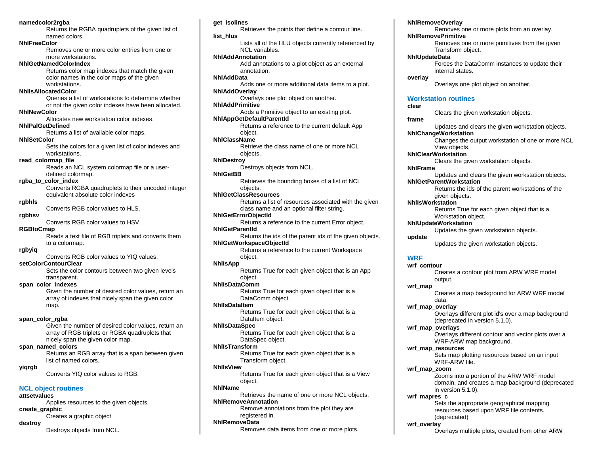#### **namedcolor2rgba**

Returns the RGBA quadruplets of the given list of named colors.

#### **NhlFreeColor**

Removes one or more color entries from one or more workstations.

# **NhlGetNamedColorIndex**

Returns color map indexes that match the given color names in the color maps of the given workstations.

#### **NhlIsAllocatedColor**

Queries a list of workstations to determine whether or not the given color indexes have been allocated.

# **NhlNewColor**

Allocates new workstation color indexes. **NhlPalGetDefined** 

Returns a list of available color maps.

# **NhlSetColor**

Sets the colors for a given list of color indexes and workstations.

# **read\_colormap\_file**

Reads an NCL system colormap file or a userdefined colormap.

# **rgba\_to\_color\_index**

Converts RGBA quadruplets to their encoded integer equivalent absolute color indexes

# **rgbhls**

Converts RGB color values to HLS.

# **rgbhsv**

Converts RGB color values to HSV.

# **RGBtoCmap**

Reads a text file of RGB triplets and converts them to a colormap.

# **rgbyiq**

Converts RGB color values to YIQ values.

# **setColorContourClear**

Sets the color contours between two given levels transparent.

# **span\_color\_indexes**

Given the number of desired color values, return an array of indexes that nicely span the given color map.

#### **span\_color\_rgba**

Given the number of desired color values, return an array of RGB triplets or RGBA quadruplets that nicely span the given color map.

# **span\_named\_colors**

Returns an RGB array that is a span between given list of named colors.

## **yiqrgb**

Converts YIQ color values to RGB.

# **NCL object routines**

# **attsetvalues**

Applies resources to the given objects. **create\_graphic**

# Creates a graphic object

**destroy**

Destroys objects from NCL.

#### **get\_isolines**

Retrieves the points that define a contour line. **list\_hlus** Lists all of the HLU objects currently referenced by NCL variables. **NhlAddAnnotation** Add annotations to a plot object as an external annotation. **NhlAddData** Adds one or more additional data items to a plot. **NhlAddOverlay** Overlays one plot object on another. **NhlAddPrimitive** Adds a Primitive object to an existing plot. **NhlAppGetDefaultParentId** Returns a reference to the current default App object. **NhlClassName** Retrieve the class name of one or more NCL objects. **NhlDestroy** Destroys objects from NCL. **NhlGetBB** Retrieves the bounding boxes of a list of NCL objects. **NhlGetClassResources** Returns a list of resources associated with the given class name and an optional filter string. **NhlGetErrorObjectId** Returns a reference to the current Error object. **NhlGetParentId** Returns the ids of the parent ids of the given objects. **NhlGetWorkspaceObjectId** Returns a reference to the current Workspace object. **NhlIsApp** Returns True for each given object that is an App object. **NhlIsDataComm** Returns True for each given object that is a DataComm object. **NhlIsDataItem** Returns True for each given object that is a DataItem object. **NhlIsDataSpec** Returns True for each given object that is a DataSpec object. **NhlIsTransform** Returns True for each given object that is a Transform object. **NhlIsView** Returns True for each given object that is a View object.

# **NhlName**

Retrieves the name of one or more NCL objects. **NhlRemoveAnnotation**

Remove annotations from the plot they are registered in.

# **NhlRemoveData**

Removes data items from one or more plots.

#### **NhlRemoveOverlay**

Removes one or more plots from an overlay.

# **NhlRemovePrimitive**

Removes one or more primitives from the given Transform object.

# **NhlUpdateData**

Forces the DataComm instances to update their internal states.

# **overlay**

Overlays one plot object on another.

# **Workstation routines**

**clear**

Clears the given workstation objects.

# **frame**

Updates and clears the given workstation objects.

# **NhlChangeWorkstation**

Changes the output workstation of one or more NCL View objects.

**NhlClearWorkstation**

Clears the given workstation objects.

#### **NhlFrame**

Updates and clears the given workstation objects. **NhlGetParentWorkstation**

Returns the ids of the parent workstations of the

#### given objects. **NhlIsWorkstation**

Returns True for each given object that is a Workstation object.

# **NhlUpdateWorkstation**

Updates the given workstation objects.

**update**

#### Updates the given workstation objects.

# **WRF**

**wrf\_contour**

Creates a contour plot from ARW WRF model output.

**wrf\_map**

Creates a map background for ARW WRF model data.

**wrf\_map\_overlay**

Overlays different plot id's over a map background (deprecated in version 5.1.0).

# **wrf\_map\_overlays**

Overlays different contour and vector plots over a WRF-ARW map background.

# **wrf\_map\_resources**

Sets map plotting resources based on an input WRF-ARW file.

#### **wrf\_map\_zoom**

Zooms into a portion of the ARW WRF model domain, and creates a map background (deprecated in version 5.1.0).

#### **wrf\_mapres\_c**

Sets the appropriate geographical mapping resources based upon WRF file contents. (deprecated)

#### **wrf\_overlay**

Overlays multiple plots, created from other ARW